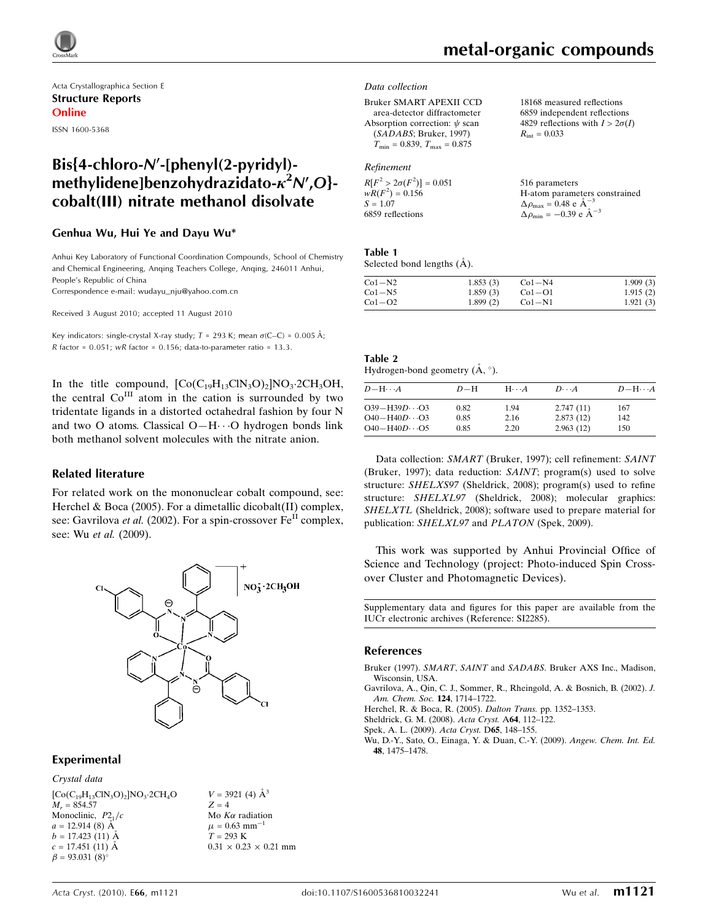

Acta Crystallographica Section E Structure Reports Online ISSN 1600-5368

## $Bis{4-chloro-N'-[phenvl(2-pvridvl)-}$ methylidene]benzohydrazidato- $\kappa^2$ N',O}cobalt(III) nitrate methanol disolvate

### Genhua Wu, Hui Ye and Dayu Wu\*

Anhui Key Laboratory of Functional Coordination Compounds, School of Chemistry and Chemical Engineering, Anqing Teachers College, Anqing, 246011 Anhui, People's Republic of China

Correspondence e-mail: wudayu\_nju@yahoo.com.cn

Received 3 August 2010; accepted 11 August 2010

Key indicators: single-crystal X-ray study;  $T = 293$  K; mean  $\sigma$ (C–C) = 0.005 Å; R factor =  $0.051$ ; wR factor =  $0.156$ ; data-to-parameter ratio =  $13.3$ .

In the title compound,  $[Co(C_{19}H_{13}ClN_3O)_2]NO_3 \cdot 2CH_3OH$ , the central  $Co<sup>III</sup>$  atom in the cation is surrounded by two tridentate ligands in a distorted octahedral fashion by four N and two O atoms. Classical O-H···O hydrogen bonds link both methanol solvent molecules with the nitrate anion.

### Related literature

For related work on the mononuclear cobalt compound, see: Herchel & Boca (2005). For a dimetallic dicobalt(II) complex, see: Gavrilova et al. (2002). For a spin-crossover  $Fe<sup>H</sup>$  complex, see: Wu et al. (2009).



### Experimental

Crystal data

 $[Co(C_{19}H_{13}ClN_3O)_2]NO_3.2CH_4O$  $M_r = 854.57$ Monoclinic,  $P2_1/c$  $a = 12.914(8)$  Å  $b = 17.423(11)$  Å  $c = 17.451(11)$  Å  $\beta = 93.031(8)$ °

 $V = 3921$  (4)  $\AA^3$  $Z = 4$ Mo  $K\alpha$  radiation  $\mu$  = 0.63 mm<sup>-1</sup>  $T = 293$  K  $0.31 \times 0.23 \times 0.21$  mm

# metal-organic compounds

 $R_{\text{int}} = 0.033$ 

18168 measured reflections 6859 independent reflections 4829 reflections with  $I > 2\sigma(I)$ 

#### Data collection

Bruker SMART APEXII CCD area-detector diffractometer Absorption correction:  $\psi$  scan (SADABS; Bruker, 1997)  $T_{\text{min}} = 0.839, T_{\text{max}} = 0.875$ 

### Refinement

| $R[F^2 > 2\sigma(F^2)] = 0.051$ | 516 parameters                                      |
|---------------------------------|-----------------------------------------------------|
| $wR(F^2) = 0.156$               | H-atom parameters constrained                       |
| $S = 1.07$                      | $\Delta \rho_{\text{max}} = 0.48$ e $\AA^{-3}$      |
| 6859 reflections                | $\Delta \rho_{\text{min}} = -0.39 \text{ e A}^{-3}$ |

### Table 1

Selected bond lengths  $(\AA)$ .

| $Co1-N2$ | 1.853(3) | $Co1-N4$ | 1.909(3) |
|----------|----------|----------|----------|
| $Co1-N5$ | 1.859(3) | $Co1-O1$ | 1.915(2) |
| $Co1-O2$ | 1.899(2) | $Co1-N1$ | 1.921(3) |

### Table 2 Hydrogen-bond geometry  $(A, \circ)$ .

| $D - H \cdots A$       | $D-H$ | $H \cdot \cdot \cdot A$ | $D\cdots A$ | $D - H \cdots A$ |
|------------------------|-------|-------------------------|-------------|------------------|
| $O39 - H39D \cdots O3$ | 0.82  | 1.94                    | 2.747(11)   | 167              |
| $O40 - H40D \cdots O3$ | 0.85  | 2.16                    | 2.873(12)   | 142              |
| $O40 - H40D \cdots O5$ | 0.85  | 2.20                    | 2.963(12)   | 150              |

Data collection: SMART (Bruker, 1997); cell refinement: SAINT (Bruker, 1997); data reduction: SAINT; program(s) used to solve structure: SHELXS97 (Sheldrick, 2008); program(s) used to refine structure: SHELXL97 (Sheldrick, 2008); molecular graphics: SHELXTL (Sheldrick, 2008); software used to prepare material for publication: SHELXL97 and PLATON (Spek, 2009).

This work was supported by Anhui Provincial Office of Science and Technology (project: Photo-induced Spin Crossover Cluster and Photomagnetic Devices).

Supplementary data and figures for this paper are available from the IUCr electronic archives (Reference: SI2285).

### References

- Bruker (1997). SMART, SAINT and SADABS[. Bruker AXS Inc., Madison,](https://scripts.iucr.org/cgi-bin/cr.cgi?rm=pdfbb&cnor=si2285&bbid=BB1) [Wisconsin, USA.](https://scripts.iucr.org/cgi-bin/cr.cgi?rm=pdfbb&cnor=si2285&bbid=BB1)
- [Gavrilova, A., Qin, C. J., Sommer, R., Rheingold, A. & Bosnich, B. \(2002\).](https://scripts.iucr.org/cgi-bin/cr.cgi?rm=pdfbb&cnor=si2285&bbid=BB2) J. [Am. Chem. Soc.](https://scripts.iucr.org/cgi-bin/cr.cgi?rm=pdfbb&cnor=si2285&bbid=BB2) 124, 1714–1722.
- [Herchel, R. & Boca, R. \(2005\).](https://scripts.iucr.org/cgi-bin/cr.cgi?rm=pdfbb&cnor=si2285&bbid=BB3) Dalton Trans. pp. 1352–1353.
- [Sheldrick, G. M. \(2008\).](https://scripts.iucr.org/cgi-bin/cr.cgi?rm=pdfbb&cnor=si2285&bbid=BB4) Acta Cryst. A64, 112-122.

[Spek, A. L. \(2009\).](https://scripts.iucr.org/cgi-bin/cr.cgi?rm=pdfbb&cnor=si2285&bbid=BB5) Acta Cryst. D65, 148–155.

[Wu, D.-Y., Sato, O., Einaga, Y. & Duan, C.-Y. \(2009\).](https://scripts.iucr.org/cgi-bin/cr.cgi?rm=pdfbb&cnor=si2285&bbid=BB6) Angew. Chem. Int. Ed. 48[, 1475–1478.](https://scripts.iucr.org/cgi-bin/cr.cgi?rm=pdfbb&cnor=si2285&bbid=BB6)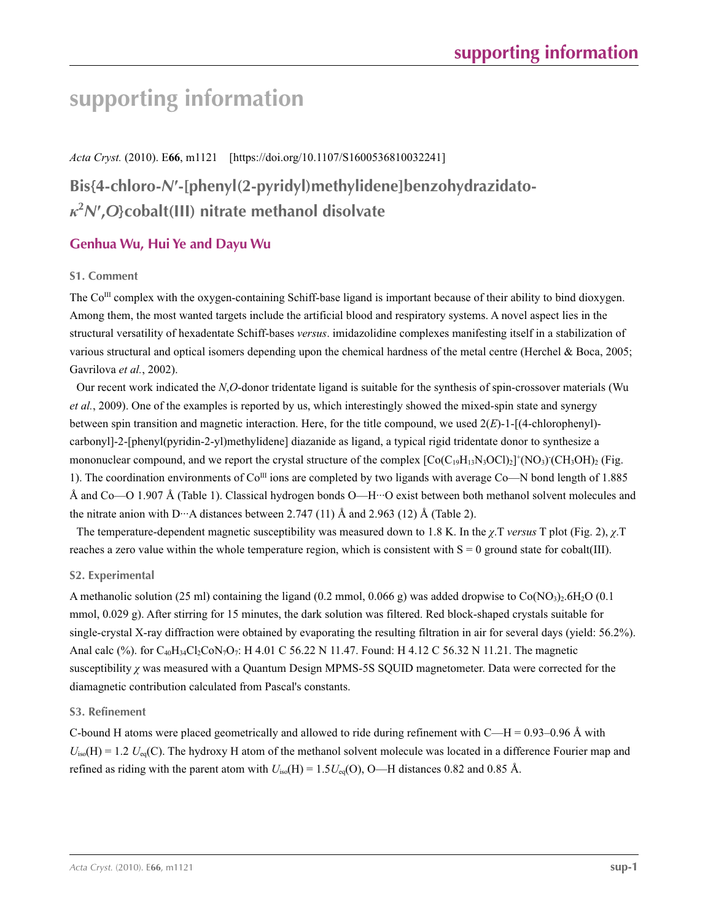# **supporting information**

*Acta Cryst.* (2010). E**66**, m1121 [https://doi.org/10.1107/S1600536810032241]

# **Bis{4-chloro-***N***′-[phenyl(2-pyridyl)methylidene]benzohydrazidato***κ***2** *N***′ ,***O***}cobalt(III) nitrate methanol disolvate**

### **Genhua Wu, Hui Ye and Dayu Wu**

### **S1. Comment**

The  $Co^{III}$  complex with the oxygen-containing Schiff-base ligand is important because of their ability to bind dioxygen. Among them, the most wanted targets include the artificial blood and respiratory systems. A novel aspect lies in the structural versatility of hexadentate Schiff-bases *versus*. imidazolidine complexes manifesting itself in a stabilization of various structural and optical isomers depending upon the chemical hardness of the metal centre (Herchel & Boca, 2005; Gavrilova *et al.*, 2002).

Our recent work indicated the *N*,*O*-donor tridentate ligand is suitable for the synthesis of spin-crossover materials (Wu *et al.*, 2009). One of the examples is reported by us, which interestingly showed the mixed-spin state and synergy between spin transition and magnetic interaction. Here, for the title compound, we used 2(*E*)-1-[(4-chlorophenyl) carbonyl]-2-[phenyl(pyridin-2-yl)methylidene] diazanide as ligand, a typical rigid tridentate donor to synthesize a mononuclear compound, and we report the crystal structure of the complex  $[Co(C<sub>19</sub>H<sub>13</sub>N<sub>3</sub>OC1)<sub>2</sub>]<sup>+</sup>(NO<sub>3</sub>)(CH<sub>3</sub>OH)<sub>2</sub> (Fig.$ 1). The coordination environments of  $Co^{III}$  ions are completed by two ligands with average  $Co$ —N bond length of 1.885 Å and Co—O 1.907 Å (Table 1). Classical hydrogen bonds O—H···O exist between both methanol solvent molecules and the nitrate anion with D···A distances between 2.747 (11)  $\AA$  and 2.963 (12)  $\AA$  (Table 2).

The temperature-dependent magnetic susceptibility was measured down to 1.8 K. In the *χ*.T *versus* T plot (Fig. 2), *χ*.T reaches a zero value within the whole temperature region, which is consistent with  $S = 0$  ground state for cobalt(III).

### **S2. Experimental**

A methanolic solution (25 ml) containing the ligand (0.2 mmol, 0.066 g) was added dropwise to  $Co(NO_3)_{2.6}H_{2}O(0.1)$ mmol, 0.029 g). After stirring for 15 minutes, the dark solution was filtered. Red block-shaped crystals suitable for single-crystal X-ray diffraction were obtained by evaporating the resulting filtration in air for several days (yield: 56.2%). Anal calc (%). for  $C_{40}H_{34}C_{2}C_{0}N_{7}O_{7}$ : H 4.01 C 56.22 N 11.47. Found: H 4.12 C 56.32 N 11.21. The magnetic susceptibility *χ* was measured with a Quantum Design MPMS-5S SQUID magnetometer. Data were corrected for the diamagnetic contribution calculated from Pascal's constants.

### **S3. Refinement**

C-bound H atoms were placed geometrically and allowed to ride during refinement with  $C-H = 0.93-0.96 \text{ Å}$  with  $U_{iso}(H) = 1.2 U_{eq}(C)$ . The hydroxy H atom of the methanol solvent molecule was located in a difference Fourier map and refined as riding with the parent atom with  $U_{iso}(H) = 1.5U_{eq}(O)$ , O—H distances 0.82 and 0.85 Å.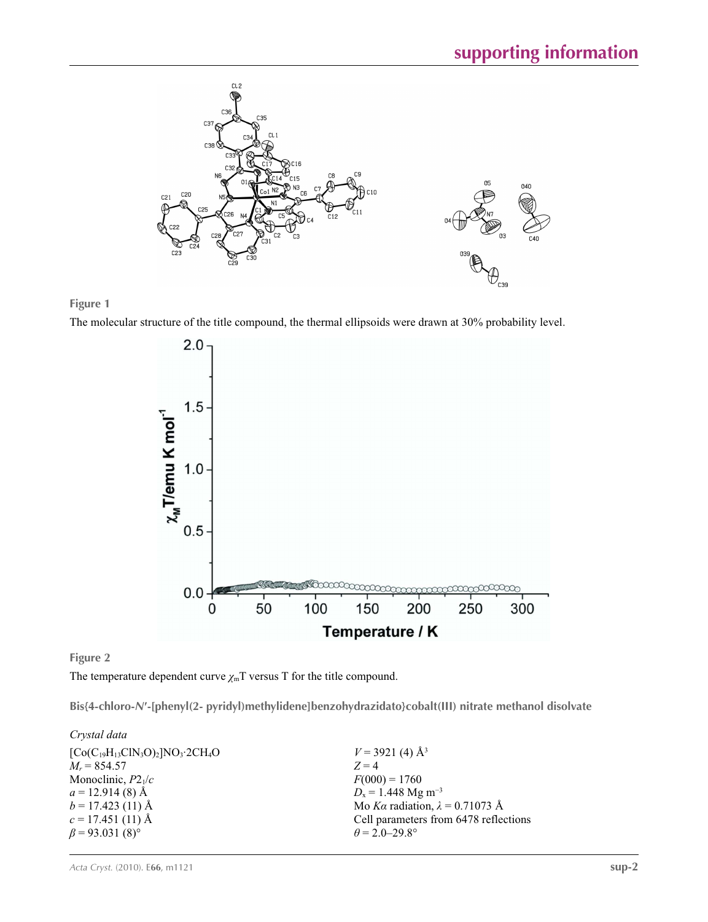

### **Figure 1**

The molecular structure of the title compound, the thermal ellipsoids were drawn at 30% probability level.



**Figure 2**

The temperature dependent curve  $\chi$ <sup>m</sup>T versus T for the title compound.

**Bis{4-chloro-***N***′-[phenyl(2- pyridyl)methylidene]benzohydrazidato}cobalt(III) nitrate methanol disolvate** 

*Crystal data*

| $[Co(C_{19}H_{13}ClN_3O)_2]NO_3$ 2CH <sub>4</sub> O | $V = 3921(4)$ Å <sup>3</sup>           |
|-----------------------------------------------------|----------------------------------------|
| $M_r = 854.57$                                      | $Z=4$                                  |
| Monoclinic, $P2_1/c$                                | $F(000) = 1760$                        |
| $a = 12.914(8)$ Å                                   | $D_x = 1.448$ Mg m <sup>-3</sup>       |
| $b = 17.423(11)$ Å                                  | Mo Ka radiation, $\lambda = 0.71073$ Å |
| $c = 17.451(11)$ Å                                  | Cell parameters from 6478 reflections  |
| $\beta$ = 93.031 (8) <sup>o</sup>                   | $\theta = 2.0 - 29.8^{\circ}$          |
|                                                     |                                        |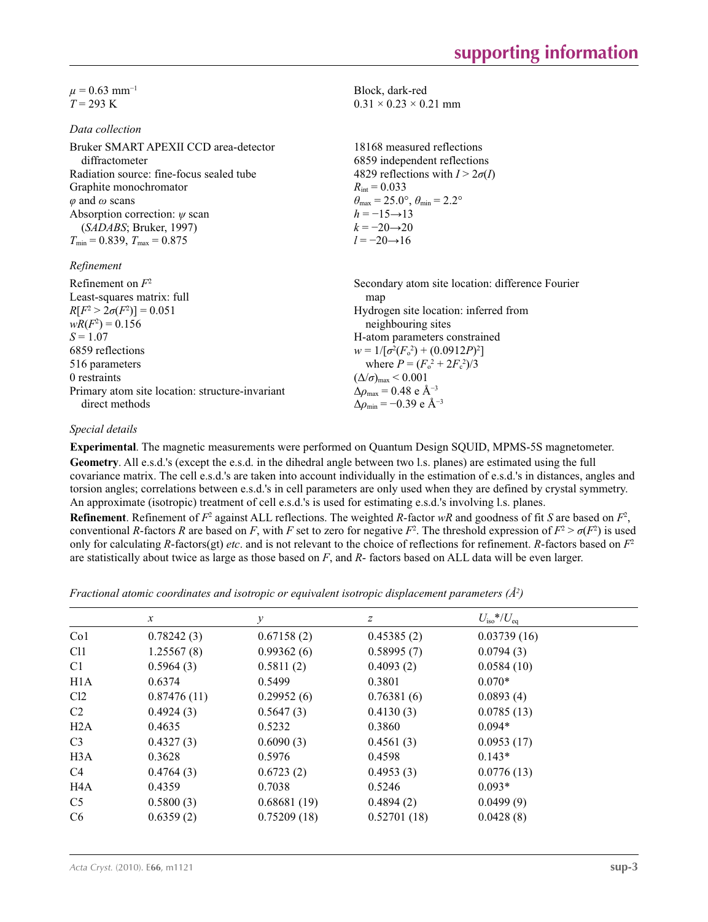$\mu$  = 0.63 mm<sup>-1</sup>  $T = 293 \text{ K}$ 

### *Data collection*

| Bruker SMART APEXII CCD area-detector<br>diffractometer | 18168 measured reflections<br>6859 independent reflections              |
|---------------------------------------------------------|-------------------------------------------------------------------------|
| Radiation source: fine-focus sealed tube                | 4829 reflections with $I > 2\sigma(I)$                                  |
| Graphite monochromator                                  | $R_{\text{int}} = 0.033$                                                |
| $\varphi$ and $\omega$ scans                            | $\theta_{\text{max}} = 25.0^{\circ}, \theta_{\text{min}} = 2.2^{\circ}$ |
| Absorption correction: $\psi$ scan                      | $h = -15 \rightarrow 13$                                                |
| (SADABS; Bruker, 1997)                                  | $k = -20 \rightarrow 20$                                                |
| $T_{\text{min}} = 0.839, T_{\text{max}} = 0.875$        | $l = -20 \rightarrow 16$                                                |
| Refinement                                              |                                                                         |

| Refinement on $F^2$                             | Secondary atom site location: difference Fourier         |
|-------------------------------------------------|----------------------------------------------------------|
| Least-squares matrix: full                      | map                                                      |
| $R[F^2 > 2\sigma(F^2)] = 0.051$                 | Hydrogen site location: inferred from                    |
| $wR(F^2) = 0.156$                               | neighbouring sites                                       |
| $S = 1.07$                                      | H-atom parameters constrained                            |
| 6859 reflections                                | $w = 1/[\sigma^2(F_0^2) + (0.0912P)^2]$                  |
| 516 parameters                                  | where $P = (F_o^2 + 2F_c^2)/3$                           |
| 0 restraints                                    | $(\Delta/\sigma)_{\text{max}}$ < 0.001                   |
| Primary atom site location: structure-invariant | $\Delta\rho_{\rm max} = 0.48 \text{ e } \text{\AA}^{-3}$ |
| direct methods                                  | $\Delta\rho_{\rm min} = -0.39 \text{ e A}^{-3}$          |
|                                                 |                                                          |

### *Special details*

**Experimental**. The magnetic measurements were performed on Quantum Design SQUID, MPMS-5S magnetometer. **Geometry**. All e.s.d.'s (except the e.s.d. in the dihedral angle between two l.s. planes) are estimated using the full covariance matrix. The cell e.s.d.'s are taken into account individually in the estimation of e.s.d.'s in distances, angles and torsion angles; correlations between e.s.d.'s in cell parameters are only used when they are defined by crystal symmetry. An approximate (isotropic) treatment of cell e.s.d.'s is used for estimating e.s.d.'s involving l.s. planes.

Block, dark-red  $0.31 \times 0.23 \times 0.21$  mm

**Refinement**. Refinement of  $F^2$  against ALL reflections. The weighted *R*-factor  $wR$  and goodness of fit *S* are based on  $F^2$ , conventional *R*-factors *R* are based on *F*, with *F* set to zero for negative  $F^2$ . The threshold expression of  $F^2 > \sigma(F^2)$  is used only for calculating *R*-factors(gt) *etc*. and is not relevant to the choice of reflections for refinement. *R*-factors based on *F*<sup>2</sup> are statistically about twice as large as those based on *F*, and *R*- factors based on ALL data will be even larger.

*Fractional atomic coordinates and isotropic or equivalent isotropic displacement parameters (Å<sup>2</sup>)* 

|                  | $\mathcal{X}$ | у           | Ζ           | $U_{\rm iso}*/U_{\rm eq}$ |  |
|------------------|---------------|-------------|-------------|---------------------------|--|
| Co <sub>1</sub>  | 0.78242(3)    | 0.67158(2)  | 0.45385(2)  | 0.03739(16)               |  |
| C <sub>11</sub>  | 1.25567(8)    | 0.99362(6)  | 0.58995(7)  | 0.0794(3)                 |  |
| C <sub>1</sub>   | 0.5964(3)     | 0.5811(2)   | 0.4093(2)   | 0.0584(10)                |  |
| H1A              | 0.6374        | 0.5499      | 0.3801      | $0.070*$                  |  |
| Cl2              | 0.87476(11)   | 0.29952(6)  | 0.76381(6)  | 0.0893(4)                 |  |
| C <sub>2</sub>   | 0.4924(3)     | 0.5647(3)   | 0.4130(3)   | 0.0785(13)                |  |
| H2A              | 0.4635        | 0.5232      | 0.3860      | $0.094*$                  |  |
| C <sub>3</sub>   | 0.4327(3)     | 0.6090(3)   | 0.4561(3)   | 0.0953(17)                |  |
| H <sub>3</sub> A | 0.3628        | 0.5976      | 0.4598      | $0.143*$                  |  |
| C <sub>4</sub>   | 0.4764(3)     | 0.6723(2)   | 0.4953(3)   | 0.0776(13)                |  |
| H4A              | 0.4359        | 0.7038      | 0.5246      | $0.093*$                  |  |
| C <sub>5</sub>   | 0.5800(3)     | 0.68681(19) | 0.4894(2)   | 0.0499(9)                 |  |
| C <sub>6</sub>   | 0.6359(2)     | 0.75209(18) | 0.52701(18) | 0.0428(8)                 |  |
|                  |               |             |             |                           |  |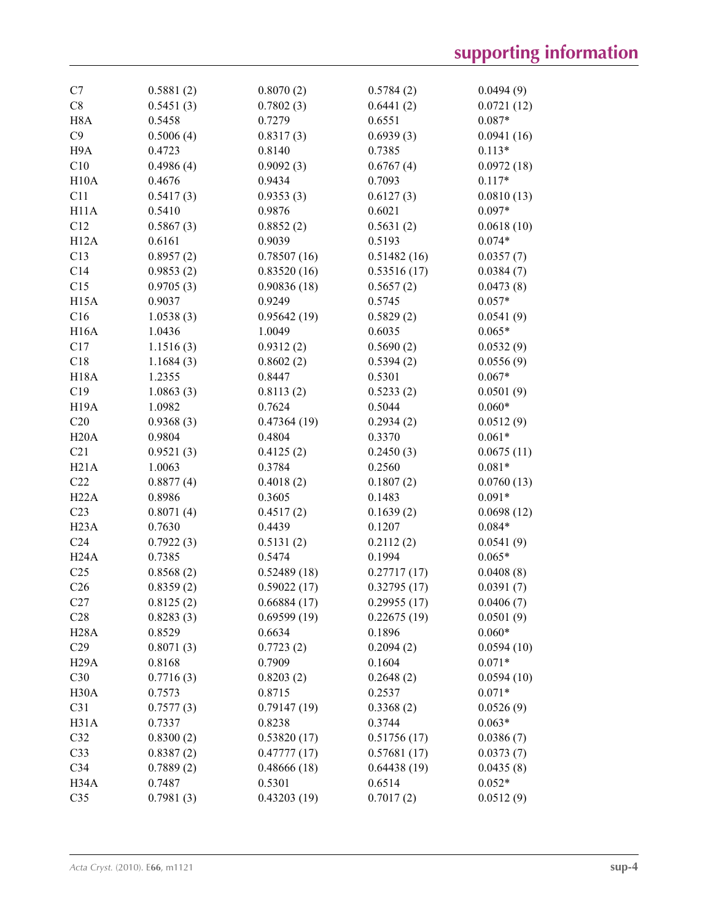| C7                | 0.5881(2) | 0.8070(2)   | 0.5784(2)   | 0.0494(9)  |
|-------------------|-----------|-------------|-------------|------------|
| C8                | 0.5451(3) | 0.7802(3)   | 0.6441(2)   | 0.0721(12) |
| H <sub>8</sub> A  | 0.5458    | 0.7279      | 0.6551      | $0.087*$   |
| C9                | 0.5006(4) | 0.8317(3)   | 0.6939(3)   | 0.0941(16) |
| H9A               | 0.4723    | 0.8140      | 0.7385      | $0.113*$   |
| C10               | 0.4986(4) | 0.9092(3)   | 0.6767(4)   | 0.0972(18) |
| H10A              | 0.4676    | 0.9434      | 0.7093      | $0.117*$   |
| C11               | 0.5417(3) | 0.9353(3)   | 0.6127(3)   | 0.0810(13) |
| H11A              | 0.5410    | 0.9876      | 0.6021      | $0.097*$   |
| C12               | 0.5867(3) | 0.8852(2)   | 0.5631(2)   | 0.0618(10) |
| H12A              | 0.6161    | 0.9039      | 0.5193      | $0.074*$   |
| C13               | 0.8957(2) | 0.78507(16) | 0.51482(16) | 0.0357(7)  |
| C14               | 0.9853(2) | 0.83520(16) | 0.53516(17) | 0.0384(7)  |
| C15               | 0.9705(3) | 0.90836(18) | 0.5657(2)   | 0.0473(8)  |
| H <sub>15</sub> A | 0.9037    | 0.9249      | 0.5745      | $0.057*$   |
| C16               | 1.0538(3) | 0.95642(19) | 0.5829(2)   | 0.0541(9)  |
| <b>H16A</b>       | 1.0436    | 1.0049      | 0.6035      | $0.065*$   |
| C17               | 1.1516(3) | 0.9312(2)   | 0.5690(2)   | 0.0532(9)  |
| C18               | 1.1684(3) | 0.8602(2)   | 0.5394(2)   | 0.0556(9)  |
| <b>H18A</b>       | 1.2355    | 0.8447      | 0.5301      | $0.067*$   |
| C19               | 1.0863(3) | 0.8113(2)   | 0.5233(2)   | 0.0501(9)  |
| H <sub>19</sub> A | 1.0982    | 0.7624      | 0.5044      | $0.060*$   |
| C20               | 0.9368(3) | 0.47364(19) | 0.2934(2)   | 0.0512(9)  |
| H20A              | 0.9804    | 0.4804      | 0.3370      | $0.061*$   |
| C21               | 0.9521(3) | 0.4125(2)   | 0.2450(3)   | 0.0675(11) |
| H21A              | 1.0063    | 0.3784      | 0.2560      | $0.081*$   |
| C22               | 0.8877(4) | 0.4018(2)   | 0.1807(2)   | 0.0760(13) |
| H22A              | 0.8986    | 0.3605      | 0.1483      | $0.091*$   |
| C23               | 0.8071(4) | 0.4517(2)   | 0.1639(2)   | 0.0698(12) |
| H <sub>23</sub> A | 0.7630    | 0.4439      | 0.1207      | $0.084*$   |
| C <sub>24</sub>   | 0.7922(3) | 0.5131(2)   | 0.2112(2)   | 0.0541(9)  |
| H24A              | 0.7385    | 0.5474      | 0.1994      | $0.065*$   |
| C <sub>25</sub>   | 0.8568(2) | 0.52489(18) | 0.27717(17) | 0.0408(8)  |
| C <sub>26</sub>   | 0.8359(2) | 0.59022(17) | 0.32795(17) | 0.0391(7)  |
| C27               | 0.8125(2) | 0.66884(17) | 0.29955(17) | 0.0406(7)  |
|                   |           |             |             |            |
| C28               | 0.8283(3) | 0.69599(19) | 0.22675(19) | 0.0501(9)  |
| H <sub>2</sub> 8A | 0.8529    | 0.6634      | 0.1896      | $0.060*$   |
| C29               | 0.8071(3) | 0.7723(2)   | 0.2094(2)   | 0.0594(10) |
| H <sub>29</sub> A | 0.8168    | 0.7909      | 0.1604      | $0.071*$   |
| C30               | 0.7716(3) | 0.8203(2)   | 0.2648(2)   | 0.0594(10) |
| H <sub>30</sub> A | 0.7573    | 0.8715      | 0.2537      | $0.071*$   |
| C31               | 0.7577(3) | 0.79147(19) | 0.3368(2)   | 0.0526(9)  |
| H31A              | 0.7337    | 0.8238      | 0.3744      | $0.063*$   |
| C32               | 0.8300(2) | 0.53820(17) | 0.51756(17) | 0.0386(7)  |
| C33               | 0.8387(2) | 0.47777(17) | 0.57681(17) | 0.0373(7)  |
| C34               | 0.7889(2) | 0.48666(18) | 0.64438(19) | 0.0435(8)  |
| H34A              | 0.7487    | 0.5301      | 0.6514      | $0.052*$   |
| C <sub>35</sub>   | 0.7981(3) | 0.43203(19) | 0.7017(2)   | 0.0512(9)  |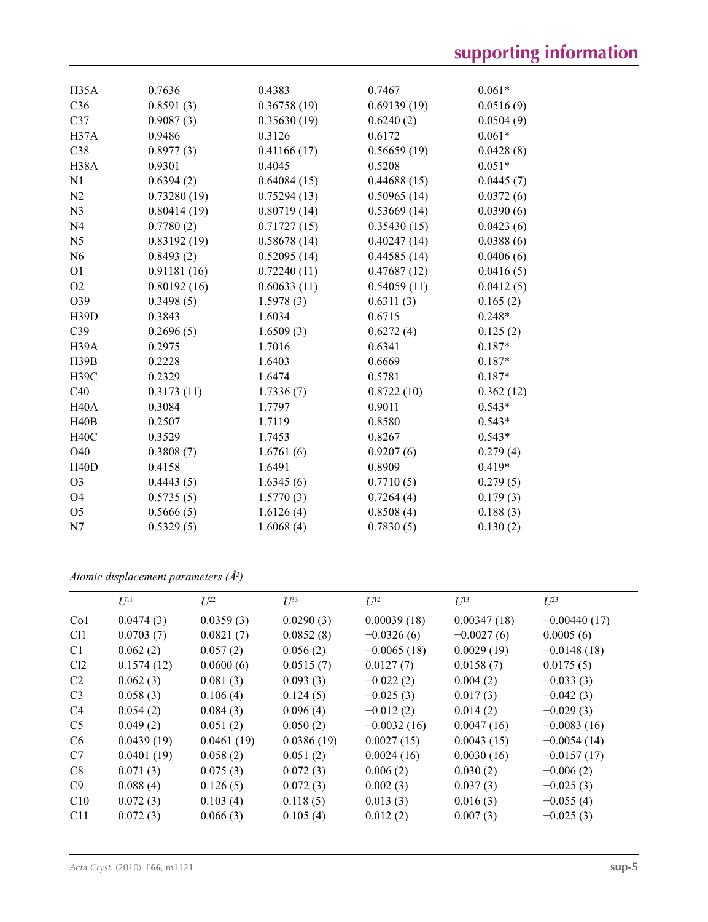| H35A              | 0.7636      | 0.4383      | 0.7467      | $0.061*$  |
|-------------------|-------------|-------------|-------------|-----------|
| C36               | 0.8591(3)   | 0.36758(19) | 0.69139(19) | 0.0516(9) |
| C <sub>37</sub>   | 0.9087(3)   | 0.35630(19) | 0.6240(2)   | 0.0504(9) |
| H <sub>37</sub> A | 0.9486      | 0.3126      | 0.6172      | $0.061*$  |
| C38               | 0.8977(3)   | 0.41166(17) | 0.56659(19) | 0.0428(8) |
| H <sub>38</sub> A | 0.9301      | 0.4045      | 0.5208      | $0.051*$  |
| N1                | 0.6394(2)   | 0.64084(15) | 0.44688(15) | 0.0445(7) |
| N <sub>2</sub>    | 0.73280(19) | 0.75294(13) | 0.50965(14) | 0.0372(6) |
| N <sub>3</sub>    | 0.80414(19) | 0.80719(14) | 0.53669(14) | 0.0390(6) |
| N <sub>4</sub>    | 0.7780(2)   | 0.71727(15) | 0.35430(15) | 0.0423(6) |
| N <sub>5</sub>    | 0.83192(19) | 0.58678(14) | 0.40247(14) | 0.0388(6) |
| N <sub>6</sub>    | 0.8493(2)   | 0.52095(14) | 0.44585(14) | 0.0406(6) |
| O <sub>1</sub>    | 0.91181(16) | 0.72240(11) | 0.47687(12) | 0.0416(5) |
| O2                | 0.80192(16) | 0.60633(11) | 0.54059(11) | 0.0412(5) |
| O39               | 0.3498(5)   | 1.5978(3)   | 0.6311(3)   | 0.165(2)  |
| H <sub>39</sub> D | 0.3843      | 1.6034      | 0.6715      | $0.248*$  |
| C39               | 0.2696(5)   | 1.6509(3)   | 0.6272(4)   | 0.125(2)  |
| H <sub>39</sub> A | 0.2975      | 1.7016      | 0.6341      | $0.187*$  |
| H39B              | 0.2228      | 1.6403      | 0.6669      | $0.187*$  |
| <b>H39C</b>       | 0.2329      | 1.6474      | 0.5781      | $0.187*$  |
| C40               | 0.3173(11)  | 1.7336(7)   | 0.8722(10)  | 0.362(12) |
| <b>H40A</b>       | 0.3084      | 1.7797      | 0.9011      | $0.543*$  |
| H40B              | 0.2507      | 1.7119      | 0.8580      | $0.543*$  |
| <b>H40C</b>       | 0.3529      | 1.7453      | 0.8267      | $0.543*$  |
| O40               | 0.3808(7)   | 1.6761(6)   | 0.9207(6)   | 0.279(4)  |
| H40D              | 0.4158      | 1.6491      | 0.8909      | $0.419*$  |
| O <sub>3</sub>    | 0.4443(5)   | 1.6345(6)   | 0.7710(5)   | 0.279(5)  |
| <b>O4</b>         | 0.5735(5)   | 1.5770(3)   | 0.7264(4)   | 0.179(3)  |
| O <sub>5</sub>    | 0.5666(5)   | 1.6126(4)   | 0.8508(4)   | 0.188(3)  |
| N7                | 0.5329(5)   | 1.6068(4)   | 0.7830(5)   | 0.130(2)  |
|                   |             |             |             |           |

*Atomic displacement parameters (Å2 )*

|                 | $U^{11}$   | $L^{22}$   | $\mathcal{L}^{\beta 3}$ | $U^{12}$      | $U^{13}$     | $U^{23}$       |
|-----------------|------------|------------|-------------------------|---------------|--------------|----------------|
| Co <sub>1</sub> | 0.0474(3)  | 0.0359(3)  | 0.0290(3)               | 0.00039(18)   | 0.00347(18)  | $-0.00440(17)$ |
| C <sub>11</sub> | 0.0703(7)  | 0.0821(7)  | 0.0852(8)               | $-0.0326(6)$  | $-0.0027(6)$ | 0.0005(6)      |
| C <sub>1</sub>  | 0.062(2)   | 0.057(2)   | 0.056(2)                | $-0.0065(18)$ | 0.0029(19)   | $-0.0148(18)$  |
| Cl2             | 0.1574(12) | 0.0600(6)  | 0.0515(7)               | 0.0127(7)     | 0.0158(7)    | 0.0175(5)      |
| C <sub>2</sub>  | 0.062(3)   | 0.081(3)   | 0.093(3)                | $-0.022(2)$   | 0.004(2)     | $-0.033(3)$    |
| C <sub>3</sub>  | 0.058(3)   | 0.106(4)   | 0.124(5)                | $-0.025(3)$   | 0.017(3)     | $-0.042(3)$    |
| C <sub>4</sub>  | 0.054(2)   | 0.084(3)   | 0.096(4)                | $-0.012(2)$   | 0.014(2)     | $-0.029(3)$    |
| C <sub>5</sub>  | 0.049(2)   | 0.051(2)   | 0.050(2)                | $-0.0032(16)$ | 0.0047(16)   | $-0.0083(16)$  |
| C <sub>6</sub>  | 0.0439(19) | 0.0461(19) | 0.0386(19)              | 0.0027(15)    | 0.0043(15)   | $-0.0054(14)$  |
| C7              | 0.0401(19) | 0.058(2)   | 0.051(2)                | 0.0024(16)    | 0.0030(16)   | $-0.0157(17)$  |
| C8              | 0.071(3)   | 0.075(3)   | 0.072(3)                | 0.006(2)      | 0.030(2)     | $-0.006(2)$    |
| C9              | 0.088(4)   | 0.126(5)   | 0.072(3)                | 0.002(3)      | 0.037(3)     | $-0.025(3)$    |
| C10             | 0.072(3)   | 0.103(4)   | 0.118(5)                | 0.013(3)      | 0.016(3)     | $-0.055(4)$    |
| C11             | 0.072(3)   | 0.066(3)   | 0.105(4)                | 0.012(2)      | 0.007(3)     | $-0.025(3)$    |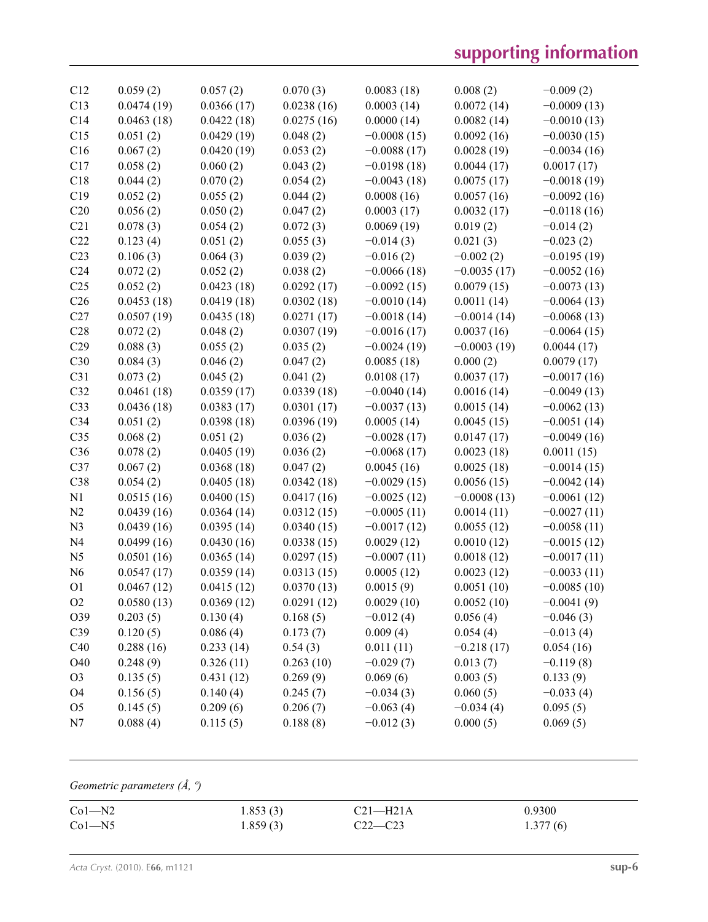| C12             | 0.059(2)   | 0.057(2)   | 0.070(3)   | 0.0083(18)    | 0.008(2)      | $-0.009(2)$   |
|-----------------|------------|------------|------------|---------------|---------------|---------------|
| C13             | 0.0474(19) | 0.0366(17) | 0.0238(16) | 0.0003(14)    | 0.0072(14)    | $-0.0009(13)$ |
| C14             | 0.0463(18) | 0.0422(18) | 0.0275(16) | 0.0000(14)    | 0.0082(14)    | $-0.0010(13)$ |
| C15             | 0.051(2)   | 0.0429(19) | 0.048(2)   | $-0.0008(15)$ | 0.0092(16)    | $-0.0030(15)$ |
| C16             | 0.067(2)   | 0.0420(19) | 0.053(2)   | $-0.0088(17)$ | 0.0028(19)    | $-0.0034(16)$ |
| C17             | 0.058(2)   | 0.060(2)   | 0.043(2)   | $-0.0198(18)$ | 0.0044(17)    | 0.0017(17)    |
| C18             | 0.044(2)   | 0.070(2)   | 0.054(2)   | $-0.0043(18)$ | 0.0075(17)    | $-0.0018(19)$ |
| C19             | 0.052(2)   | 0.055(2)   | 0.044(2)   | 0.0008(16)    | 0.0057(16)    | $-0.0092(16)$ |
| C20             | 0.056(2)   | 0.050(2)   | 0.047(2)   | 0.0003(17)    | 0.0032(17)    | $-0.0118(16)$ |
| C21             | 0.078(3)   | 0.054(2)   | 0.072(3)   | 0.0069(19)    | 0.019(2)      | $-0.014(2)$   |
| C22             | 0.123(4)   | 0.051(2)   | 0.055(3)   | $-0.014(3)$   | 0.021(3)      | $-0.023(2)$   |
| C <sub>23</sub> | 0.106(3)   | 0.064(3)   | 0.039(2)   | $-0.016(2)$   | $-0.002(2)$   | $-0.0195(19)$ |
| C <sub>24</sub> | 0.072(2)   | 0.052(2)   | 0.038(2)   | $-0.0066(18)$ | $-0.0035(17)$ | $-0.0052(16)$ |
| C <sub>25</sub> | 0.052(2)   | 0.0423(18) | 0.0292(17) | $-0.0092(15)$ | 0.0079(15)    | $-0.0073(13)$ |
| C <sub>26</sub> | 0.0453(18) | 0.0419(18) | 0.0302(18) | $-0.0010(14)$ | 0.0011(14)    | $-0.0064(13)$ |
| C27             | 0.0507(19) | 0.0435(18) | 0.0271(17) | $-0.0018(14)$ | $-0.0014(14)$ | $-0.0068(13)$ |
| C28             | 0.072(2)   | 0.048(2)   | 0.0307(19) | $-0.0016(17)$ | 0.0037(16)    | $-0.0064(15)$ |
| C29             | 0.088(3)   | 0.055(2)   | 0.035(2)   | $-0.0024(19)$ | $-0.0003(19)$ | 0.0044(17)    |
| C30             | 0.084(3)   | 0.046(2)   | 0.047(2)   | 0.0085(18)    | 0.000(2)      | 0.0079(17)    |
| C31             | 0.073(2)   | 0.045(2)   | 0.041(2)   | 0.0108(17)    | 0.0037(17)    | $-0.0017(16)$ |
| C32             | 0.0461(18) | 0.0359(17) | 0.0339(18) | $-0.0040(14)$ | 0.0016(14)    | $-0.0049(13)$ |
| C33             | 0.0436(18) | 0.0383(17) | 0.0301(17) | $-0.0037(13)$ | 0.0015(14)    | $-0.0062(13)$ |
| C <sub>34</sub> | 0.051(2)   | 0.0398(18) | 0.0396(19) | 0.0005(14)    | 0.0045(15)    | $-0.0051(14)$ |
| C <sub>35</sub> | 0.068(2)   | 0.051(2)   | 0.036(2)   | $-0.0028(17)$ | 0.0147(17)    | $-0.0049(16)$ |
| C36             | 0.078(2)   | 0.0405(19) | 0.036(2)   | $-0.0068(17)$ | 0.0023(18)    | 0.0011(15)    |
| C37             | 0.067(2)   | 0.0368(18) | 0.047(2)   | 0.0045(16)    | 0.0025(18)    | $-0.0014(15)$ |
| C38             | 0.054(2)   | 0.0405(18) | 0.0342(18) | $-0.0029(15)$ | 0.0056(15)    | $-0.0042(14)$ |
| N1              | 0.0515(16) | 0.0400(15) | 0.0417(16) | $-0.0025(12)$ | $-0.0008(13)$ | $-0.0061(12)$ |
| N <sub>2</sub>  | 0.0439(16) | 0.0364(14) | 0.0312(15) | $-0.0005(11)$ | 0.0014(11)    | $-0.0027(11)$ |
| N <sub>3</sub>  | 0.0439(16) | 0.0395(14) | 0.0340(15) | $-0.0017(12)$ | 0.0055(12)    | $-0.0058(11)$ |
| N <sub>4</sub>  | 0.0499(16) | 0.0430(16) | 0.0338(15) | 0.0029(12)    | 0.0010(12)    | $-0.0015(12)$ |
| N <sub>5</sub>  | 0.0501(16) | 0.0365(14) | 0.0297(15) | $-0.0007(11)$ | 0.0018(12)    | $-0.0017(11)$ |
| N <sub>6</sub>  | 0.0547(17) | 0.0359(14) | 0.0313(15) | 0.0005(12)    | 0.0023(12)    | $-0.0033(11)$ |
| O <sub>1</sub>  | 0.0467(12) | 0.0415(12) | 0.0370(13) | 0.0015(9)     | 0.0051(10)    | $-0.0085(10)$ |
| $\rm O2$        | 0.0580(13) | 0.0369(12) | 0.0291(12) | 0.0029(10)    | 0.0052(10)    | $-0.0041(9)$  |
| O39             | 0.203(5)   | 0.130(4)   | 0.168(5)   | $-0.012(4)$   | 0.056(4)      | $-0.046(3)$   |
| C39             | 0.120(5)   | 0.086(4)   | 0.173(7)   | 0.009(4)      | 0.054(4)      | $-0.013(4)$   |
| C40             | 0.288(16)  | 0.233(14)  | 0.54(3)    | 0.011(11)     | $-0.218(17)$  | 0.054(16)     |
| O40             | 0.248(9)   | 0.326(11)  | 0.263(10)  | $-0.029(7)$   | 0.013(7)      | $-0.119(8)$   |
| O <sub>3</sub>  | 0.135(5)   | 0.431(12)  | 0.269(9)   | 0.069(6)      | 0.003(5)      | 0.133(9)      |
| O <sub>4</sub>  | 0.156(5)   | 0.140(4)   | 0.245(7)   | $-0.034(3)$   | 0.060(5)      | $-0.033(4)$   |
| O <sub>5</sub>  | 0.145(5)   | 0.209(6)   | 0.206(7)   | $-0.063(4)$   | $-0.034(4)$   | 0.095(5)      |
| N7              | 0.088(4)   | 0.115(5)   | 0.188(8)   | $-0.012(3)$   | 0.000(5)      | 0.069(5)      |

## *Geometric parameters (Å, º)*

| $Co1 - N2$ | 1.853(3) | C21—H21A   | 0.9300   |
|------------|----------|------------|----------|
| $Co1 - N5$ | 1.859(3) | $(22 - C)$ | 1.377(6) |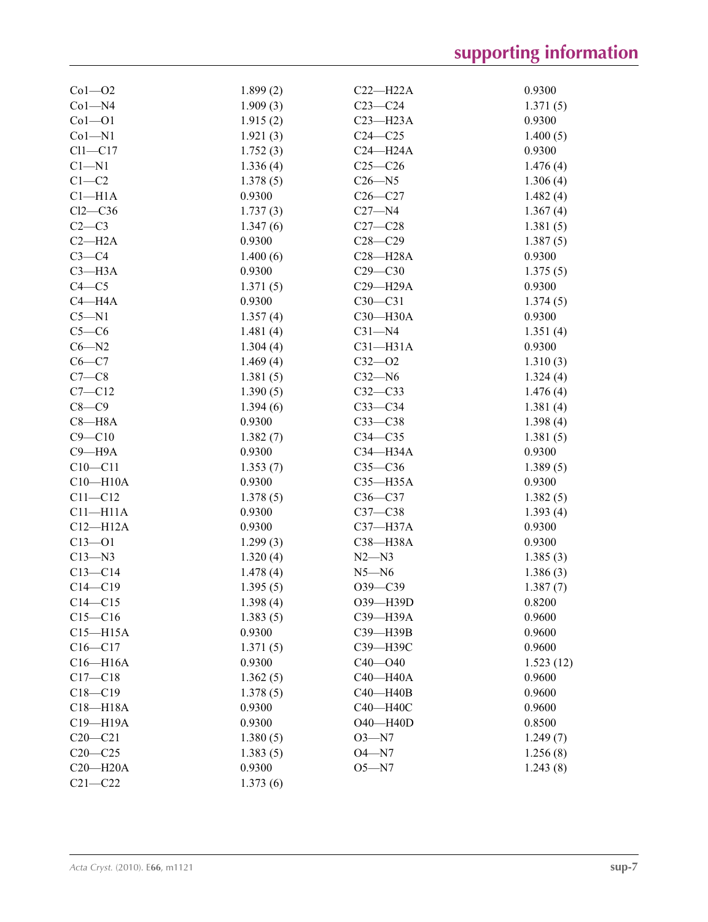| $Co1 - O2$         | 1.899(2) | $C22 - H22A$ | 0.9300    |
|--------------------|----------|--------------|-----------|
| $Co1 - N4$         | 1.909(3) | $C23-C24$    | 1.371(5)  |
| $Co1 - O1$         | 1.915(2) | $C23 - H23A$ | 0.9300    |
| $Co1 - N1$         | 1.921(3) | $C24 - C25$  | 1.400(5)  |
| $Cl1-C17$          | 1.752(3) | $C24 - H24A$ | 0.9300    |
| $C1 - N1$          | 1.336(4) | $C25-C26$    | 1.476(4)  |
| $C1-C2$            | 1.378(5) | $C26 - N5$   | 1.306(4)  |
| Cl <sub>–H1A</sub> | 0.9300   | $C26 - C27$  | 1.482(4)  |
| $Cl2-C36$          | 1.737(3) | $C27 - N4$   | 1.367(4)  |
| $C2-C3$            | 1.347(6) | $C27 - C28$  | 1.381(5)  |
| $C2-H2A$           | 0.9300   | $C28 - C29$  | 1.387(5)  |
| $C3-C4$            | 1.400(6) | $C28 - H28A$ | 0.9300    |
| $C3 - H3A$         | 0.9300   | $C29 - C30$  | 1.375(5)  |
| $C4 - C5$          | 1.371(5) | C29-H29A     | 0.9300    |
| $C4 - H4A$         | 0.9300   | $C30-C31$    | 1.374(5)  |
| $C5 - N1$          | 1.357(4) | $C30 - H30A$ | 0.9300    |
| $C5-C6$            | 1.481(4) | $C31 - N4$   | 1.351(4)  |
| $C6 - N2$          | 1.304(4) | $C31 - H31A$ | 0.9300    |
| $C6 - C7$          | 1.469(4) | $C32 - O2$   | 1.310(3)  |
| $C7-C8$            | 1.381(5) | $C32 - N6$   | 1.324(4)  |
| $C7 - C12$         | 1.390(5) | $C32-C33$    | 1.476(4)  |
| $C8-C9$            | 1.394(6) | $C33-C34$    | 1.381(4)  |
| $C8 - H8A$         | 0.9300   | $C33-C38$    | 1.398(4)  |
| $C9 - C10$         | 1.382(7) | $C34 - C35$  | 1.381(5)  |
| $C9 - H9A$         | 0.9300   | C34-H34A     | 0.9300    |
| $C10 - C11$        | 1.353(7) | $C35-C36$    | 1.389(5)  |
| $C10 - H10A$       | 0.9300   | $C35 - H35A$ | 0.9300    |
| $C11 - C12$        | 1.378(5) | $C36 - C37$  | 1.382(5)  |
| $C11 - H11A$       | 0.9300   | $C37-C38$    | 1.393(4)  |
| $C12 - H12A$       | 0.9300   | $C37 - H37A$ | 0.9300    |
| $C13 - 01$         | 1.299(3) | C38-H38A     | 0.9300    |
| $C13 - N3$         | 1.320(4) | $N2 - N3$    | 1.385(3)  |
| $C13 - C14$        | 1.478(4) | $N5 - N6$    | 1.386(3)  |
| $C14 - C19$        | 1.395(5) | O39-C39      | 1.387(7)  |
| $C14 - C15$        | 1.398(4) | O39-H39D     | 0.8200    |
| $C15 - C16$        | 1.383(5) | C39-H39A     | 0.9600    |
| $C15 - H15A$       | 0.9300   | C39-H39B     | 0.9600    |
| $C16 - C17$        | 1.371(5) | C39-H39C     | 0.9600    |
| $C16 - H16A$       | 0.9300   | $C40 - O40$  | 1.523(12) |
| $C17 - C18$        | 1.362(5) | C40-H40A     | 0.9600    |
| $C18 - C19$        | 1.378(5) | C40-H40B     | 0.9600    |
| $C18 - H18A$       | 0.9300   | C40-H40C     | 0.9600    |
| C19-H19A           | 0.9300   | O40-H40D     | 0.8500    |
| $C20 - C21$        | 1.380(5) | $O3 - N7$    | 1.249(7)  |
| $C20-C25$          | 1.383(5) | $O4 - N7$    | 1.256(8)  |
| $C20 - H20A$       | 0.9300   | $O5 - N7$    | 1.243(8)  |
| $C21 - C22$        | 1.373(6) |              |           |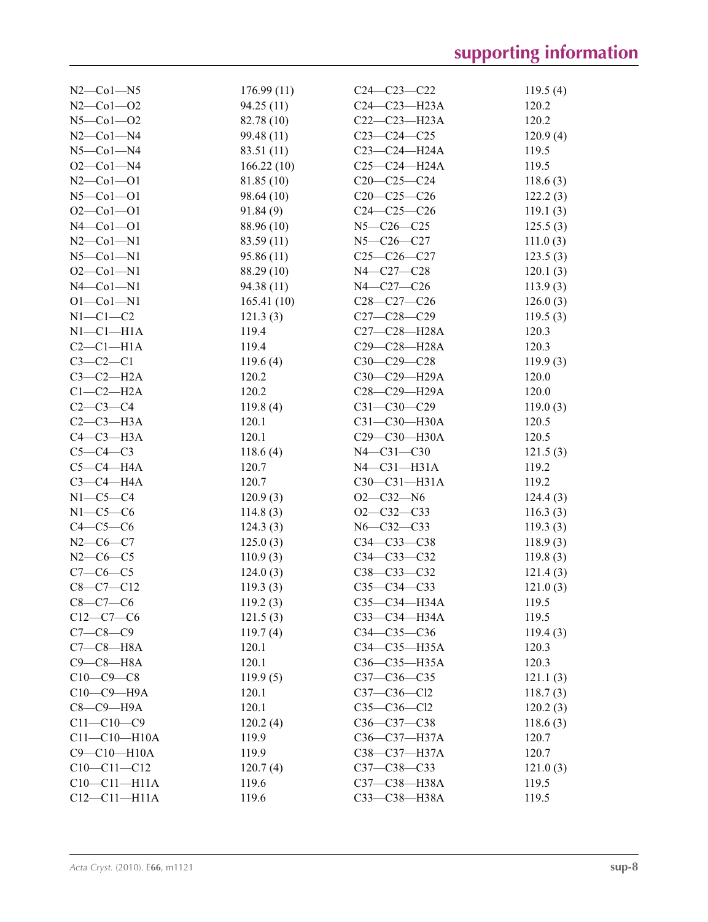| $N2$ –Co $1$ –N5         | 176.99(11)        | $C24 - C23 - C22$                | 119.5(4)          |
|--------------------------|-------------------|----------------------------------|-------------------|
| $N2$ –Co $1$ –O2         | 94.25(11)         | $C24 - C23 - H23A$               | 120.2             |
| $N5 - Co1 - O2$          | 82.78 (10)        | $C22-C23-H23A$                   | 120.2             |
| $N2$ –Col–N4             | 99.48(11)         | $C23-C24-C25$                    | 120.9(4)          |
| $N5$ -Col-N4             | 83.51 (11)        | $C23-C24-H24A$                   | 119.5             |
| $O2$ – $Co1$ – $N4$      | 166.22(10)        | $C25-C24-H24A$                   | 119.5             |
| $N2$ –Co $1$ –O1         | 81.85 (10)        | $C20-C25-C24$                    | 118.6(3)          |
| $N5$ -Col-Ol             | 98.64 (10)        | $C20-C25-C26$                    | 122.2(3)          |
| $O2 - Co1 - O1$          | 91.84(9)          | $C24-C25-C26$                    | 119.1(3)          |
| $N4$ –Col–Ol             | 88.96 (10)        | $N5 - C26 - C25$                 | 125.5(3)          |
| $N2$ –Col–N1             | 83.59(11)         | $N5 - C26 - C27$                 | 111.0(3)          |
| $N5$ -Col-N1             | 95.86(11)         | $C25 - C26 - C27$                | 123.5(3)          |
| $O2 - Co1 - N1$          | 88.29 (10)        | N4-C27-C28                       | 120.1(3)          |
| $N4$ –Col–N1             | 94.38(11)         | N4-C27-C26                       | 113.9(3)          |
| $O1 - Co1 - N1$          | 165.41(10)        | $C28-C27-C26$                    | 126.0(3)          |
| $N1-C1-C2$               | 121.3(3)          | $C27 - C28 - C29$                | 119.5(3)          |
| $N1-C1-H1A$              | 119.4             | C27-C28-H28A                     | 120.3             |
| $C2-C1-H1A$              | 119.4             | C29-C28-H28A                     | 120.3             |
| $C3-C2-C1$               | 119.6(4)          | $C30-C29-C28$                    | 119.9(3)          |
| $C3-C2-H2A$              | 120.2             | C30-C29-H29A                     | 120.0             |
| $C1-C2-H2A$              | 120.2             | C28-C29-H29A                     | 120.0             |
| $C2-C3-C4$               | 119.8(4)          | $C31 - C30 - C29$                | 119.0(3)          |
| $C2-C3-H3A$              | 120.1             | C31-C30-H30A                     | 120.5             |
| $C4-C3-H3A$              | 120.1             | C29-C30-H30A                     | 120.5             |
| $C5-C4-C3$               |                   | $N4 - C31 - C30$                 |                   |
| $C5-C4-H4A$              | 118.6(4)<br>120.7 | $N4-C31-H31A$                    | 121.5(3)<br>119.2 |
| $C3-C4-H4A$              | 120.7             | $C30-C31-H31A$                   | 119.2             |
| $N1-C5-C4$               |                   | $O2-C32-N6$                      |                   |
|                          | 120.9(3)          |                                  | 124.4(3)          |
| $N1-C5-C6$               | 114.8(3)          | $O2-C32-C33$                     | 116.3(3)          |
| $C4-C5-C6$<br>$N2-C6-C7$ | 124.3(3)          | $N6 - C32 - C33$                 | 119.3(3)          |
| $N2-C6-C5$               | 125.0(3)          | $C34 - C33 - C38$                | 118.9(3)          |
|                          | 110.9(3)          | $C34 - C33 - C32$<br>C38-C33-C32 | 119.8(3)          |
| $C7 - C6 - C5$           | 124.0(3)          |                                  | 121.4(3)          |
| $C8-C7-C12$              | 119.3(3)          | $C35-C34-C33$                    | 121.0(3)          |
| $C8-C7-C6$               | 119.2(3)          | СЗ5-СЗ4-НЗ4А                     | 119.5             |
| $C12-C7-C6$              | 121.5(3)          | C33-C34-H34A                     | 119.5             |
| $C7 - C8 - C9$           | 119.7(4)          | $C34 - C35 - C36$                | 119.4(3)          |
| $C7-C8-H8A$              | 120.1             | C34-C35-H35A                     | 120.3             |
| $C9 - C8 - H8A$          | 120.1             | C36-C35-H35A                     | 120.3             |
| $C10-C9-C8$              | 119.9(5)          | $C37 - C36 - C35$                | 121.1(3)          |
| $C10-C9-$ H9A            | 120.1             | $C37 - C36 - C12$                | 118.7(3)          |
| $C8-C9$ —H9A             | 120.1             | $C35-C36-C12$                    | 120.2(3)          |
| $C11 - C10 - C9$         | 120.2(4)          | C36-C37-C38                      | 118.6(3)          |
| $C11 - C10 - H10A$       | 119.9             | $C36 - C37 - H37A$               | 120.7             |
| C9-C10-H10A              | 119.9             | C38-C37-H37A                     | 120.7             |
| $C10-C11-C12$            | 120.7(4)          | $C37 - C38 - C33$                | 121.0(3)          |
| $C10-C11-H11A$           | 119.6             | C37-C38-H38A                     | 119.5             |
| $C12 - C11 - H11A$       | 119.6             | C33-C38-H38A                     | 119.5             |